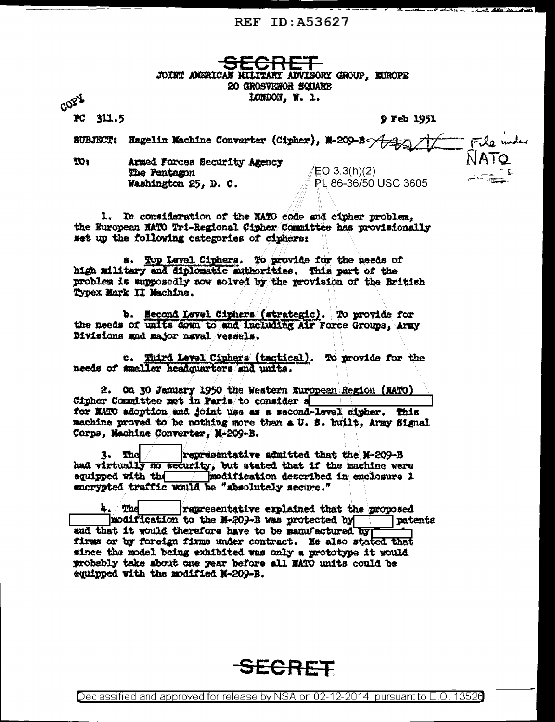REF ID: A53627

JOINT AMERICAN MILITARY ADVISORY GROUP, EIROPE 20 GROSVENOR SQUARE LOMDON, W. L.

COPY PC 311.5

9 Feb 1951

**FERRY WALLET** 

File index<br>NATO SUBJECT: Hagelin Machine Converter (Cipher), M-209-B Armed Forces Security Agency  $30<sub>1</sub>$ 

The Pentagon Washington 25. D. C.

 $ED 3.3(h)(2)$ PL 86-36/50 USC 3605

1. In consideration of the NATO code and cipher problem. the European NATO Tri-Regional Cipher Committee has provisionally set up the following categories of ciphers:

a. Top Lavel Ciphers. To provide for the needs of high military and diplomatic muthorities. This part of the problem is supposedly now solved by the provision of the British Typex Mark II Machine.

b. Second Level Ciphers (strategic). To provide for the needs of units down to and including Air Force Groups, Army Divisions and major naval vessels.

c. Third Level Ciphers (tactical). To provide for the needs of smaller headquarters and units.

2. On 30 January 1950 the Western European Region (NATO) Cipher Committee met in Paris to consider a for NATO adoption and joint use as a second-level cipher. This machine proved to be nothing more than a U. S. built, Army Signal Corps, Machine Converter, M-209-B.

3. The representative admitted that the M-209-B had virtually no security, but stated that if the machine were equipped with the modification described in enclosure 1 encrypted traffic would be "absolutely secure."

 $h_{\star}$  The representative explained that the proposed modification to the M-209-B was protected by patents and that it would therefore have to be manufactured by firms or by foreign firms under contract. He also stated that since the model being exhibited was only a prototype it would probably take about one year before all MATO units could be equipped with the modified M-209-B.



<u>Declassified and approved for release by NSA on 02-12-2014 pursuant to E.O. 13526</u>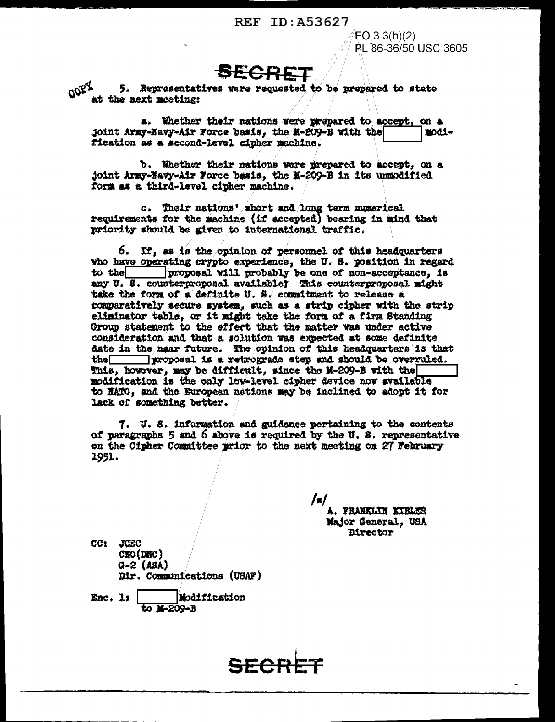## REF ID: A53627

 $EO 3.3(h)(2)$ RI 86-36/50 USC 3605

**AFCRET** 

COPY 5. Representatives were requested to be prepared to state at the next meeting:

a. Whether their nations were prepared to accept, on a joint Army-Navy-Air Force basis, the M-209-B with the modification as a second-level cipher machine.

b. Whether their nations were prepared to accept, on a joint Army-Navy-Air Force basis, the M-209-B in its unmodified form as a third-level cipher machine.

c. Their nations' short and long term numerical requirements for the machine (if accepted) bearing in mind that priority should be given to international traffic.

6. If, as is the opinion of personnel of this headquarters who have operating crypto experience, the U.S. position in regard to the proposal will probably be one of non-acceptance, is any U. S. counterproposal available? This counterproposal might take the form of a definite U. S. commitment to release a comparatively secure system, such as a strip cipher with the strip eliminator table, or it might take the form of a firm Standing Group statement to the effect that the matter was under active consideration and that a solution was expected at some definite date in the near future. The opinion of this headquarters is that proposal is a retrograde step and should be overruled.  $then$ This, however, may be difficult, since the M-209-B with the modification is the only low-level cipher device now available to HATO, and the European nations may be inclined to adopt it for lack of something better.

7. U.S. information and guidance pertaining to the contents of paragraphs 5 and 6 above is required by the U. S. representative on the Cipher Committee prior to the next meeting on 27 February 1951.

> A. FRANKLIN KIBLER Major General, USA Director

CC: JUEC  $CNO(DHC)$  $Q - 2$  (ABA) Dir. Communications (UBAF)

Enc. 1; Modification **E-209-B**